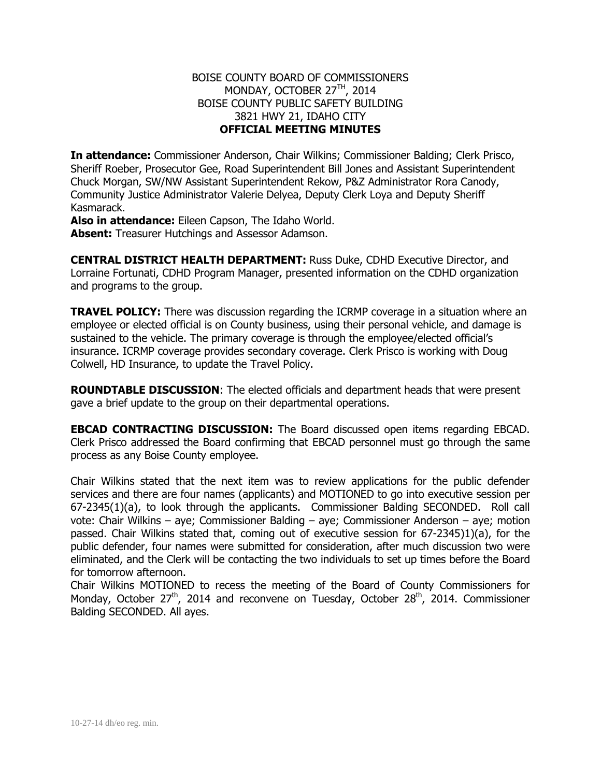## BOISE COUNTY BOARD OF COMMISSIONERS MONDAY, OCTOBER 27<sup>TH</sup>, 2014 BOISE COUNTY PUBLIC SAFETY BUILDING 3821 HWY 21, IDAHO CITY **OFFICIAL MEETING MINUTES**

**In attendance:** Commissioner Anderson, Chair Wilkins; Commissioner Balding; Clerk Prisco, Sheriff Roeber, Prosecutor Gee, Road Superintendent Bill Jones and Assistant Superintendent Chuck Morgan, SW/NW Assistant Superintendent Rekow, P&Z Administrator Rora Canody, Community Justice Administrator Valerie Delyea, Deputy Clerk Loya and Deputy Sheriff Kasmarack.

**Also in attendance:** Eileen Capson, The Idaho World. **Absent:** Treasurer Hutchings and Assessor Adamson.

**CENTRAL DISTRICT HEALTH DEPARTMENT:** Russ Duke, CDHD Executive Director, and Lorraine Fortunati, CDHD Program Manager, presented information on the CDHD organization and programs to the group.

**TRAVEL POLICY:** There was discussion regarding the ICRMP coverage in a situation where an employee or elected official is on County business, using their personal vehicle, and damage is sustained to the vehicle. The primary coverage is through the employee/elected official's insurance. ICRMP coverage provides secondary coverage. Clerk Prisco is working with Doug Colwell, HD Insurance, to update the Travel Policy.

**ROUNDTABLE DISCUSSION**: The elected officials and department heads that were present gave a brief update to the group on their departmental operations.

**EBCAD CONTRACTING DISCUSSION:** The Board discussed open items regarding EBCAD. Clerk Prisco addressed the Board confirming that EBCAD personnel must go through the same process as any Boise County employee.

Chair Wilkins stated that the next item was to review applications for the public defender services and there are four names (applicants) and MOTIONED to go into executive session per 67-2345(1)(a), to look through the applicants. Commissioner Balding SECONDED. Roll call vote: Chair Wilkins – aye; Commissioner Balding – aye; Commissioner Anderson – aye; motion passed. Chair Wilkins stated that, coming out of executive session for 67-2345)1)(a), for the public defender, four names were submitted for consideration, after much discussion two were eliminated, and the Clerk will be contacting the two individuals to set up times before the Board for tomorrow afternoon.

Chair Wilkins MOTIONED to recess the meeting of the Board of County Commissioners for Monday, October  $27<sup>th</sup>$ , 2014 and reconvene on Tuesday, October  $28<sup>th</sup>$ , 2014. Commissioner Balding SECONDED. All ayes.